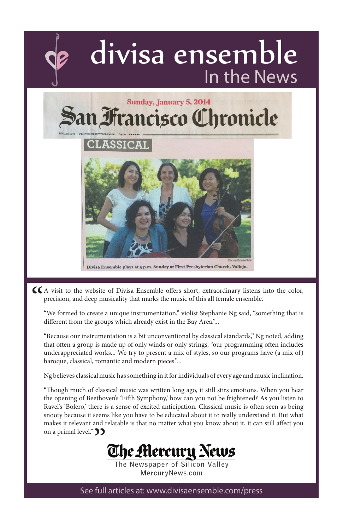

"We formed to create a unique instrumentation," violist Stephanie Ng said, "something that is different from the groups which already exist in the Bay Area."...

"Because our instrumentation is a bit unconventional by classical standards," Ng noted, adding that often a group is made up of only winds or only strings, "our programming often includes underappreciated works... We try to present a mix of styles, so our programs have (a mix of) baroque, classical, romantic and modern pieces."...

Ng believes classical music has something in it for individuals of every age and music inclination.

"Though much of classical music was written long ago, it still stirs emotions. When you hear the opening of Beethoven's 'Fifth Symphony,' how can you not be frightened? As you listen to Ravel's 'Bolero,' there is a sense of excited anticipation. Classical music is often seen as being snooty because it seems like you have to be educated about it to really understand it. But what makes it relevant and relatable is that no matter what you know about it, it can still affect you on a primal level."  $\sum$ 

The Alercury News

The Newspaper of Silicon Valley MercurvNews.com

See full articles at: www.divisaensemble.com/press